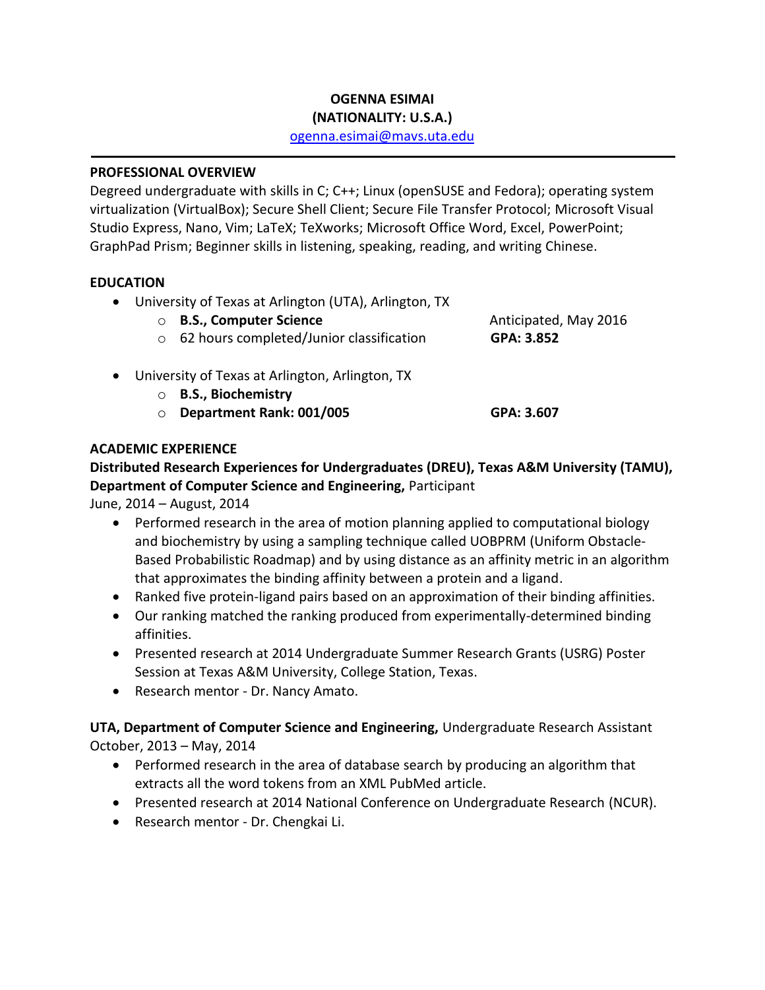# **OGENNA ESIMAI**

## **(NATIONALITY: U.S.A.)**

[ogenna.esimai@mavs.uta.edu](mailto:ogenna.esimai@mavs.uta.edu)

#### **PROFESSIONAL OVERVIEW**

Degreed undergraduate with skills in C; C++; Linux (openSUSE and Fedora); operating system virtualization (VirtualBox); Secure Shell Client; Secure File Transfer Protocol; Microsoft Visual Studio Express, Nano, Vim; LaTeX; TeXworks; Microsoft Office Word, Excel, PowerPoint; GraphPad Prism; Beginner skills in listening, speaking, reading, and writing Chinese.

#### **EDUCATION**

University of Texas at Arlington (UTA), Arlington, TX

| ○ B.S., Computer Science                   | Anticipated, May 2016 |
|--------------------------------------------|-----------------------|
| ○ 62 hours completed/Junior classification | GPA: 3.852            |
|                                            |                       |

- University of Texas at Arlington, Arlington, TX
	- o **B.S., Biochemistry** o **Department Rank: 001/005 GPA: 3.607**

#### **ACADEMIC EXPERIENCE**

## **Distributed Research Experiences for Undergraduates (DREU), Texas A&M University (TAMU), Department of Computer Science and Engineering,** Participant

June, 2014 – August, 2014

- Performed research in the area of motion planning applied to computational biology and biochemistry by using a sampling technique called UOBPRM (Uniform Obstacle-Based Probabilistic Roadmap) and by using distance as an affinity metric in an algorithm that approximates the binding affinity between a protein and a ligand.
- Ranked five protein-ligand pairs based on an approximation of their binding affinities.
- Our ranking matched the ranking produced from experimentally-determined binding affinities.
- Presented research at 2014 Undergraduate Summer Research Grants (USRG) Poster Session at Texas A&M University, College Station, Texas.
- Research mentor Dr. Nancy Amato.

**UTA, Department of Computer Science and Engineering,** Undergraduate Research Assistant October, 2013 – May, 2014

- Performed research in the area of database search by producing an algorithm that extracts all the word tokens from an XML PubMed article.
- Presented research at 2014 National Conference on Undergraduate Research (NCUR).
- Research mentor Dr. Chengkai Li.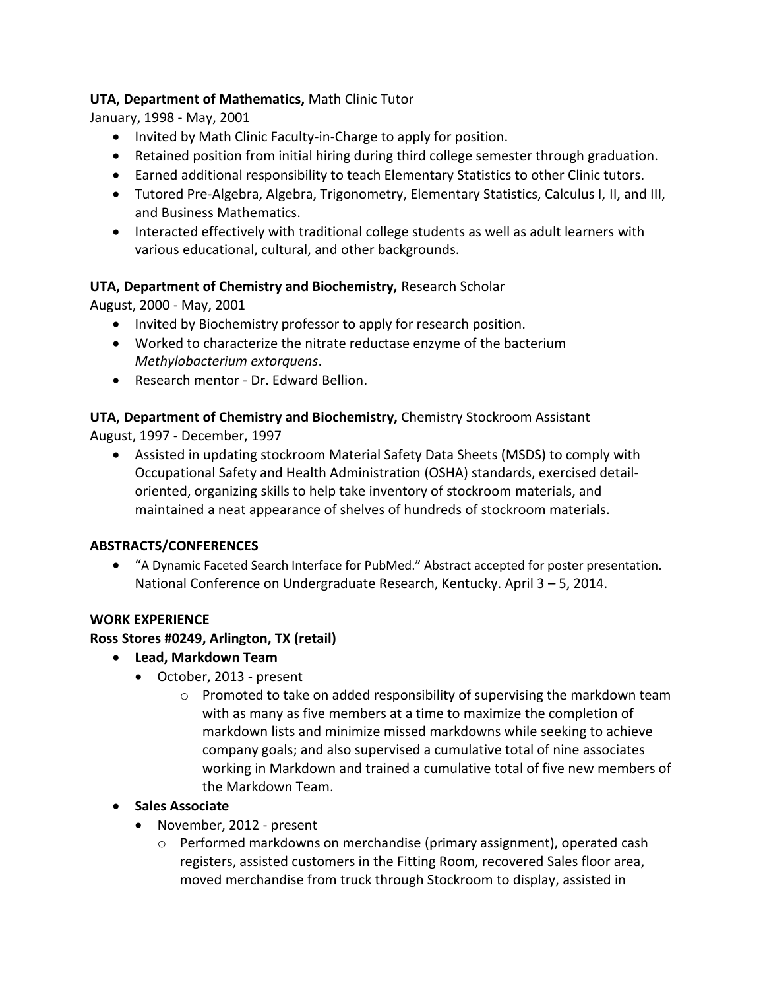## **UTA, Department of Mathematics,** Math Clinic Tutor

January, 1998 - May, 2001

- Invited by Math Clinic Faculty-in-Charge to apply for position.
- Retained position from initial hiring during third college semester through graduation.
- Earned additional responsibility to teach Elementary Statistics to other Clinic tutors.
- Tutored Pre-Algebra, Algebra, Trigonometry, Elementary Statistics, Calculus I, II, and III, and Business Mathematics.
- Interacted effectively with traditional college students as well as adult learners with various educational, cultural, and other backgrounds.

## **UTA, Department of Chemistry and Biochemistry,** Research Scholar

August, 2000 - May, 2001

- Invited by Biochemistry professor to apply for research position.
- Worked to characterize the nitrate reductase enzyme of the bacterium *Methylobacterium extorquens*.
- Research mentor Dr. Edward Bellion.

## **UTA, Department of Chemistry and Biochemistry,** Chemistry Stockroom Assistant

August, 1997 - December, 1997

 Assisted in updating stockroom Material Safety Data Sheets (MSDS) to comply with Occupational Safety and Health Administration (OSHA) standards, exercised detailoriented, organizing skills to help take inventory of stockroom materials, and maintained a neat appearance of shelves of hundreds of stockroom materials.

#### **ABSTRACTS/CONFERENCES**

 "A Dynamic Faceted Search Interface for PubMed." Abstract accepted for poster presentation. National Conference on Undergraduate Research, Kentucky. April 3 – 5, 2014.

#### **WORK EXPERIENCE**

#### **Ross Stores #0249, Arlington, TX (retail)**

- **Lead, Markdown Team**
	- October, 2013 present
		- $\circ$  Promoted to take on added responsibility of supervising the markdown team with as many as five members at a time to maximize the completion of markdown lists and minimize missed markdowns while seeking to achieve company goals; and also supervised a cumulative total of nine associates working in Markdown and trained a cumulative total of five new members of the Markdown Team.

#### **•** Sales Associate

- November, 2012 present
	- $\circ$  Performed markdowns on merchandise (primary assignment), operated cash registers, assisted customers in the Fitting Room, recovered Sales floor area, moved merchandise from truck through Stockroom to display, assisted in